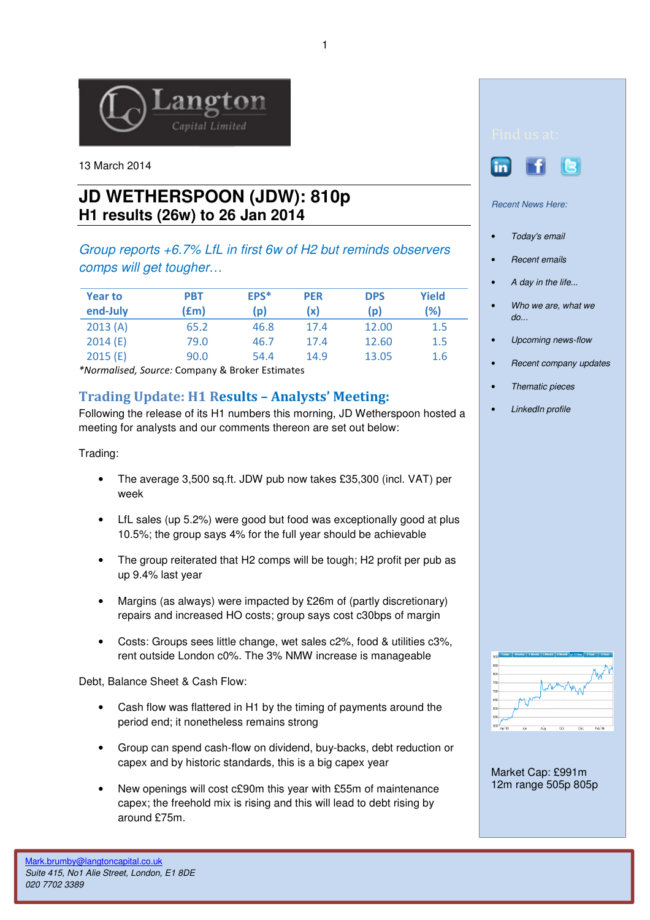

13 March 2014

## **JD WETHERSPOON (JDW): 810p H1 results (26w) to 26 Jan 2014**

Group reports +6.7% LfL in first 6w of H2 but reminds observers comps will get tougher…

| <b>Year to</b><br>end-July | PBT<br>(£m) | EPS <sup>*</sup><br>(p) | <b>PER</b><br>(x) | <b>DPS</b><br>(p) | Yield<br>(%) |
|----------------------------|-------------|-------------------------|-------------------|-------------------|--------------|
| 2013(A)                    | 65.2        | 46.8                    | 17.4              | 12.00             | 1.5          |
| 2014(E)                    | 79.0        | 46.7                    | 17.4              | 12.60             | 1.5          |
| 2015(E)                    | 90.0        | 54.4                    | 14.9              | 13.05             | 1.6          |

\*Normalised, Source: Company & Broker Estimates

## Trading Update: H1 Results – Analysts' Meeting:

Following the release of its H1 numbers this morning, JD Wetherspoon hosted a meeting for analysts and our comments thereon are set out below:

Trading:

- The average 3,500 sq.ft. JDW pub now takes £35,300 (incl. VAT) per week
- LfL sales (up 5.2%) were good but food was exceptionally good at plus 10.5%; the group says 4% for the full year should be achievable
- The group reiterated that H2 comps will be tough; H2 profit per pub as up 9.4% last year
- Margins (as always) were impacted by £26m of (partly discretionary) repairs and increased HO costs; group says cost c30bps of margin
- Costs: Groups sees little change, wet sales c2%, food & utilities c3%, rent outside London c0%. The 3% NMW increase is manageable

Debt, Balance Sheet & Cash Flow:

- Cash flow was flattered in H1 by the timing of payments around the period end; it nonetheless remains strong
- Group can spend cash-flow on dividend, buy-backs, debt reduction or capex and by historic standards, this is a big capex year
- New openings will cost c£90m this year with £55m of maintenance capex; the freehold mix is rising and this will lead to debt rising by around £75m.



Recent News Here:

- Today's email
- **Recent emails**
- A day in the life...
- Who we are, what we  $d\rho$ ...
- Upcoming news-flow
- Recent company updates
- Thematic pieces
- LinkedIn profile



Market Cap: £991m 12m range 505p 805p